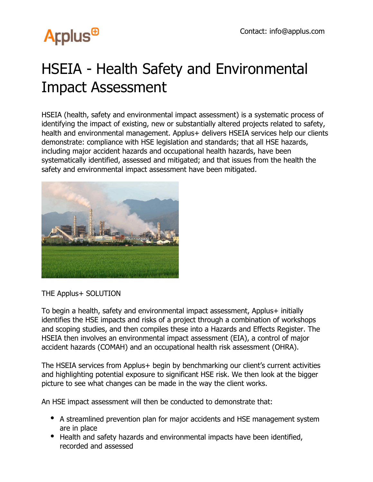## **Arplus<sup>®</sup>**

## HSEIA - Health Safety and Environmental Impact Assessment

HSEIA (health, safety and environmental impact assessment) is a systematic process of identifying the impact of existing, new or substantially altered projects related to safety, health and environmental management. Applus+ delivers HSEIA services help our clients demonstrate: compliance with HSE legislation and standards; that all HSE hazards, including major accident hazards and occupational health hazards, have been systematically identified, assessed and mitigated; and that issues from the health the safety and environmental impact assessment have been mitigated.



THE Applus+ SOLUTION

To begin a health, safety and environmental impact assessment, Applus+ initially identifies the HSE impacts and risks of a project through a combination of workshops and scoping studies, and then compiles these into a Hazards and Effects Register. The HSEIA then involves an environmental impact assessment (EIA), a control of major accident hazards (COMAH) and an occupational health risk assessment (OHRA).

The HSEIA services from Applus+ begin by benchmarking our client's current activities and highlighting potential exposure to significant HSE risk. We then look at the bigger picture to see what changes can be made in the way the client works.

An HSE impact assessment will then be conducted to demonstrate that:

- A streamlined prevention plan for major accidents and HSE management system are in place
- Health and safety hazards and environmental impacts have been identified, recorded and assessed